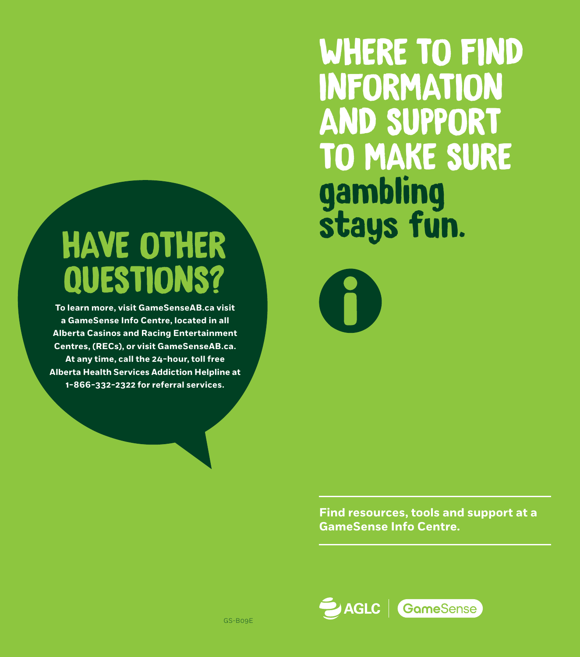# HAVE OTHER QUESTIONS?

**To learn more, visit GameSenseAB.ca visit a GameSense Info Centre, located in all Alberta Casinos and Racing Entertainment Centres, (RECs), or visit GameSenseAB.ca. At any time, call the 24-hour, toll free Alberta Health Services Addiction Helpline at 1-866-332-2322 for referral services.**

WHERE TO FIND INFORMATION AND SUPPORT TO MAKE SURE gambling stays fun.

**Find resources, tools and support at a GameSense Info Centre.**